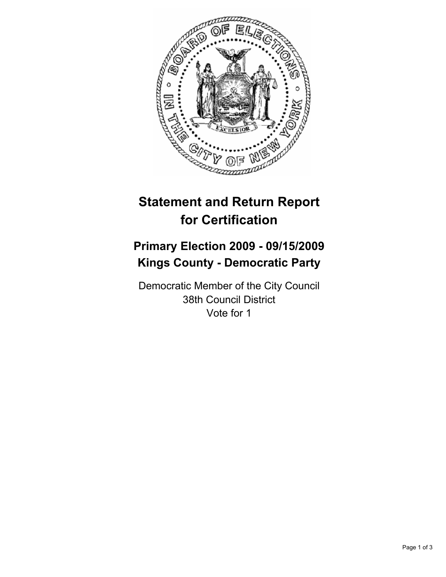

# **Statement and Return Report for Certification**

# **Primary Election 2009 - 09/15/2009 Kings County - Democratic Party**

Democratic Member of the City Council 38th Council District Vote for 1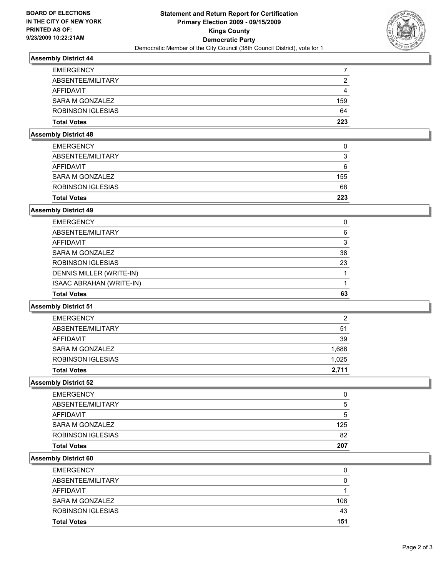

## **Assembly District 44**

| <b>EMERGENCY</b>   |     |
|--------------------|-----|
| ABSENTEE/MILITARY  | 2   |
| AFFIDAVIT          | 4   |
| SARA M GONZALEZ    | 159 |
| ROBINSON IGLESIAS  | 64  |
| <b>Total Votes</b> | 223 |

### **Assembly District 48**

| <b>Total Votes</b> | 223 |
|--------------------|-----|
| ROBINSON IGLESIAS  | 68  |
| SARA M GONZALEZ    | 155 |
| AFFIDAVIT          | 6   |
| ABSENTEE/MILITARY  | 3   |
| <b>EMERGENCY</b>   | 0   |

### **Assembly District 49**

| <b>Total Votes</b>              | 63 |
|---------------------------------|----|
| <b>ISAAC ABRAHAN (WRITE-IN)</b> |    |
| DENNIS MILLER (WRITE-IN)        |    |
| <b>ROBINSON IGLESIAS</b>        | 23 |
| SARA M GONZALEZ                 | 38 |
| <b>AFFIDAVIT</b>                | 3  |
| ABSENTEE/MILITARY               | 6  |
| <b>EMERGENCY</b>                | 0  |

#### **Assembly District 51**

| <b>Total Votes</b> | 2.711 |
|--------------------|-------|
| ROBINSON IGLESIAS  | 1.025 |
| SARA M GONZALEZ    | 1,686 |
| AFFIDAVIT          | 39    |
| ABSENTEE/MILITARY  | 51    |
| <b>EMERGENCY</b>   | 2     |

#### **Assembly District 52**

| <b>Total Votes</b> | 207 |
|--------------------|-----|
| ROBINSON IGLESIAS  | 82  |
| SARA M GONZALEZ    | 125 |
| <b>AFFIDAVIT</b>   | 5   |
| ABSENTEE/MILITARY  | 5   |
| <b>EMERGENCY</b>   | 0   |

#### **Assembly District 60**

| <b>Total Votes</b> | 151 |
|--------------------|-----|
| ROBINSON IGLESIAS  | 43  |
| SARA M GONZALEZ    | 108 |
| AFFIDAVIT          |     |
| ABSENTEE/MILITARY  | 0   |
| <b>EMERGENCY</b>   | 0   |